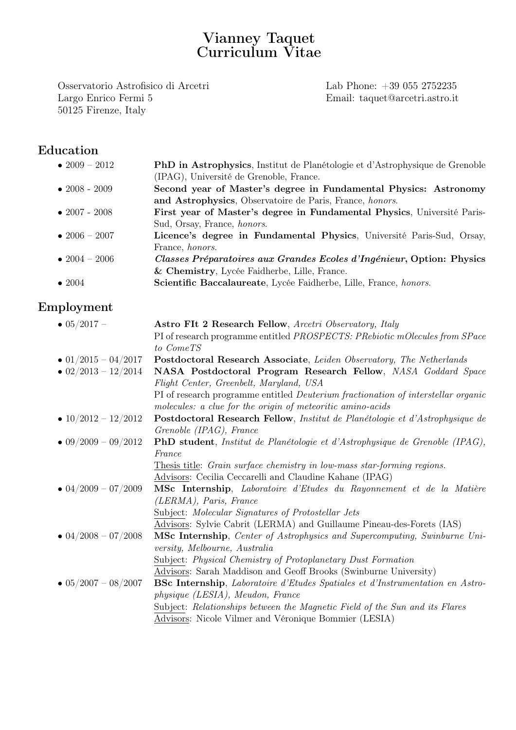# Vianney Taquet Curriculum Vitae

Osservatorio Astrofisico di Arcetri Lab Phone: +39 055 2752235 Largo Enrico Fermi 5 Email: taquet@arcetri.astro.it 50125 Firenze, Italy

## Education

| • $2009 - 2012$       | <b>PhD</b> in Astrophysics, Institut de Planétologie et d'Astrophysique de Grenoble |
|-----------------------|-------------------------------------------------------------------------------------|
|                       | (IPAG), Université de Grenoble, France.                                             |
| $\bullet$ 2008 - 2009 | Second year of Master's degree in Fundamental Physics: Astronomy                    |
|                       | and Astrophysics, Observatoire de Paris, France, honors.                            |
| $\bullet$ 2007 - 2008 | First year of Master's degree in Fundamental Physics, Université Paris-             |
|                       | Sud, Orsay, France, honors.                                                         |
| • $2006 - 2007$       | Licence's degree in Fundamental Physics, Université Paris-Sud, Orsay,               |
|                       | France, <i>honors</i> .                                                             |
| • 2004 – 2006         | Classes Préparatoires aux Grandes Ecoles d'Ingénieur, Option: Physics               |
|                       | & Chemistry, Lycée Faidherbe, Lille, France.                                        |
| $\bullet$ 2004        | Scientific Baccalaureate, Lycée Faidherbe, Lille, France, honors.                   |
|                       |                                                                                     |

# Employment

| $\bullet$ 05/2017 –         | Astro FIt 2 Research Fellow, Arcetri Observatory, Italy                                      |
|-----------------------------|----------------------------------------------------------------------------------------------|
|                             | PI of research programme entitled <i>PROSPECTS</i> : <i>PRebiotic mOlecules from SPace</i>   |
|                             | to ComeTS                                                                                    |
| $\bullet$ 01/2015 - 04/2017 | Postdoctoral Research Associate, Leiden Observatory, The Netherlands                         |
| $\bullet$ 02/2013 - 12/2014 | NASA Postdoctoral Program Research Fellow, NASA Goddard Space                                |
|                             | Flight Center, Greenbelt, Maryland, USA                                                      |
|                             | PI of research programme entitled <i>Deuterium fractionation of interstellar organic</i>     |
|                             | molecules: a clue for the origin of meteoritic amino-acids                                   |
| • $10/2012 - 12/2012$       | Postdoctoral Research Fellow, Institut de Planétologie et d'Astrophysique de                 |
|                             | Grenoble (IPAG), France                                                                      |
| $\bullet$ 09/2009 - 09/2012 | <b>PhD</b> student, Institut de Planétologie et d'Astrophysique de Grenoble (IPAG),          |
|                             | France                                                                                       |
|                             | Thesis title: Grain surface chemistry in low-mass star-forming regions.                      |
|                             | Advisors: Cecilia Ceccarelli and Claudine Kahane (IPAG)                                      |
| $\bullet$ 04/2009 - 07/2009 | <b>MSc Internship</b> , Laboratoire d'Etudes du Rayonnement et de la Matière                 |
|                             | (LERMA), Paris, France                                                                       |
|                             | Subject: Molecular Signatures of Protostellar Jets                                           |
|                             | Advisors: Sylvie Cabrit (LERMA) and Guillaume Pineau-des-Forets (IAS)                        |
| $\bullet$ 04/2008 - 07/2008 | <b>MSc Internship,</b> Center of Astrophysics and Supercomputing, Swinburne Uni-             |
|                             | versity, Melbourne, Australia                                                                |
|                             | Subject: Physical Chemistry of Protoplanetary Dust Formation                                 |
|                             | Advisors: Sarah Maddison and Geoff Brooks (Swinburne University)                             |
| $\bullet$ 05/2007 - 08/2007 | <b>BSc Internship</b> , <i>Laboratoire d'Etudes Spatiales et d'Instrumentation en Astro-</i> |
|                             | physique (LESIA), Meudon, France                                                             |
|                             | Subject: Relationships between the Magnetic Field of the Sun and its Flares                  |
|                             | Advisors: Nicole Vilmer and Véronique Bommier (LESIA)                                        |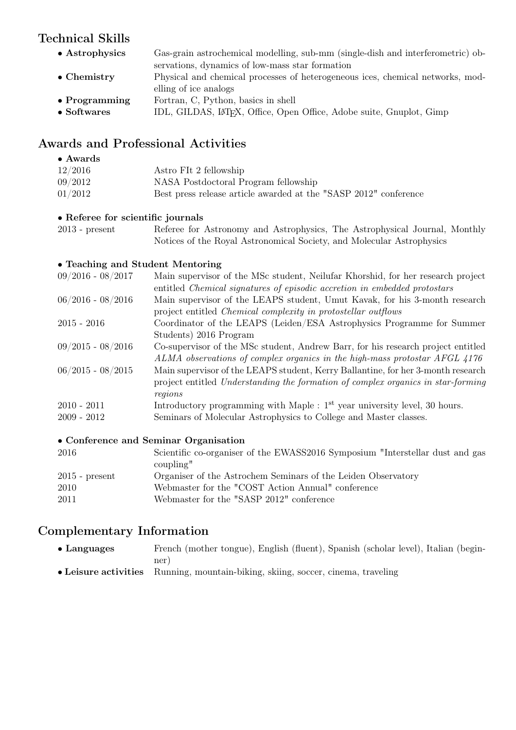## Technical Skills

• Astrophysics Gas-grain astrochemical modelling, sub-mm (single-dish and interferometric) observations, dynamics of low-mass star formation • Chemistry Physical and chemical processes of heterogeneous ices, chemical networks, modelling of ice analogs • Programming Fortran, C, Python, basics in shell • Softwares IDL, GILDAS, LAT<sub>E</sub>X, Office, Open Office, Adobe suite, Gnuplot, Gimp

### Awards and Professional Activities

#### • Awards 12/2016 Astro FIt 2 fellowship 09/2012 NASA Postdoctoral Program fellowship 01/2012 Best press release article awarded at the "SASP 2012" conference

#### • Referee for scientific journals

| $2013$ - present |  | Referee for Astronomy and Astrophysics, The Astrophysical Journal, Monthly |  |  |
|------------------|--|----------------------------------------------------------------------------|--|--|
|                  |  | Notices of the Royal Astronomical Society, and Molecular Astrophysics      |  |  |

#### • Teaching and Student Mentoring

| $09/2016 - 08/2017$ | Main supervisor of the MSc student, Neilufar Khorshid, for her research project  |
|---------------------|----------------------------------------------------------------------------------|
|                     | entitled Chemical signatures of episodic accretion in embedded protostars        |
| $06/2016 - 08/2016$ | Main supervisor of the LEAPS student, Umut Kavak, for his 3-month research       |
|                     | project entitled <i>Chemical complexity in protostellar outflows</i>             |
| $2015 - 2016$       | Coordinator of the LEAPS (Leiden/ESA Astrophysics Programme for Summer           |
|                     | Students) 2016 Program                                                           |
| $09/2015 - 08/2016$ | Co-supervisor of the MSc student, Andrew Barr, for his research project entitled |
|                     | ALMA observations of complex organics in the high-mass protostar AFGL 4176       |
| $06/2015 - 08/2015$ | Main supervisor of the LEAPS student, Kerry Ballantine, for her 3-month research |
|                     | project entitled Understanding the formation of complex organics in star-forming |
|                     | regions                                                                          |
| $2010 - 2011$       | Introductory programming with Maple : $1st$ year university level, 30 hours.     |
| $2009 - 2012$       | Seminars of Molecular Astrophysics to College and Master classes.                |
|                     |                                                                                  |

#### • Conference and Seminar Organisation

| 2016             | Scientific co-organiser of the EWASS2016 Symposium "Interstellar dust and gas |
|------------------|-------------------------------------------------------------------------------|
|                  | coupling"                                                                     |
| $2015$ - present | Organiser of the Astrochem Seminars of the Leiden Observatory                 |
| 2010             | Webmaster for the "COST Action Annual" conference                             |
| 2011             | Webmaster for the "SASP 2012" conference                                      |
|                  |                                                                               |

### Complementary Information

| $\bullet$ Languages | French (mother tongue), English (fluent), Spanish (scholar level), Italian (begin- |
|---------------------|------------------------------------------------------------------------------------|
|                     | ner                                                                                |
|                     |                                                                                    |

• Leisure activities Running, mountain-biking, skiing, soccer, cinema, traveling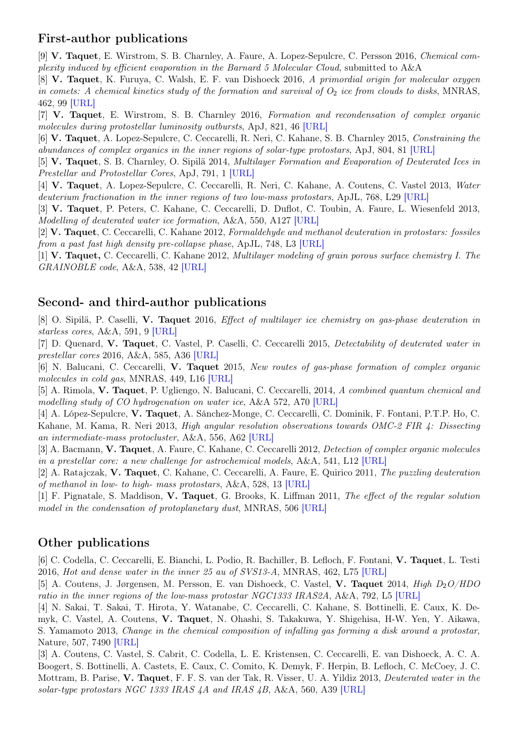#### First-author publications

[9] V. Taquet, E. Wirstrom, S. B. Charnley, A. Faure, A. Lopez-Sepulcre, C. Persson 2016, Chemical complexity induced by efficient evaporation in the Barnard 5 Molecular Cloud, submitted to A&A

[8] V. Taquet, K. Furuya, C. Walsh, E. F. van Dishoeck 2016, A primordial origin for molecular oxygen in comets: A chemical kinetics study of the formation and survival of  $O_2$  ice from clouds to disks, MNRAS, 462, 99 [\[URL\]](http://mnras.oxfordjournals.org/content/462/Suppl_1/S99)

[7] V. Taquet, E. Wirstrom, S. B. Charnley 2016, Formation and recondensation of complex organic molecules during protostellar luminosity outbursts, ApJ, 821, 46 [\[URL\]](http://iopscience.iop.org/article/10.3847/0004-637X/821/1/46/meta)

[6] V. Taquet, A. Lopez-Sepulcre, C. Ceccarelli, R. Neri, C. Kahane, S. B. Charnley 2015, Constraining the abundances of complex organics in the inner regions of solar-type protostars, ApJ, 804, 81 [\[URL\]](http://iopscience.iop.org/article/10.1088/0004-637X/804/2/81/meta;jsessionid=2AC498C31B05168BD0EE11B38A765D3E.c1)

[5] V. Taquet, S. B. Charnley, O. Sipilä 2014, Multilayer Formation and Evaporation of Deuterated Ices in Prestellar and Protostellar Cores, ApJ, 791, 1 [\[URL\]](http://iopscience.iop.org/0004-637X/791/1/1/)

[4] V. Taquet, A. Lopez-Sepulcre, C. Ceccarelli, R. Neri, C. Kahane, A. Coutens, C. Vastel 2013, Water deuterium fractionation in the inner regions of two low-mass protostars, ApJL, 768, L29 [\[URL\]](http://iopscience.iop.org/2041-8205/768/2/L29/)

[3] V. Taquet, P. Peters, C. Kahane, C. Ceccarelli, D. Duflot, C. Toubin, A. Faure, L. Wiesenfeld 2013, Modelling of deuterated water ice formation, A&A, 550, A127 [\[URL\]](http://www.aanda.org/articles/aa/abs/2013/02/aa20084-12/aa20084-12.html)

[2] V. Taquet, C. Ceccarelli, C. Kahane 2012, Formaldehyde and methanol deuteration in protostars: fossiles from a past fast high density pre-collapse phase, ApJL, 748, L3 [\[URL\]](http://iopscience.iop.org/2041-8205/748/1/L3?fromSearchPage=true)

[1] V. Taquet, C. Ceccarelli, C. Kahane 2012, Multilayer modeling of grain porous surface chemistry I. The GRAINOBLE code, A&A, 538, 42 [\[URL\]](http://www.aanda.org/index.php?option=com_article&access=standard&Itemid=129&url=/articles/aa/full_html/2012/02/aa17802-11/aa17802-11.html)

#### Second- and third-author publications

[8] O. Sipilä, P. Caselli, V. Taquet 2016, Effect of multilayer ice chemistry on gas-phase deuteration in starless cores, A&A, 591, 9 [\[URL\]](http://www.aanda.org/articles/aa/abs/2016/07/aa28272-16/aa28272-16.html)

[7] D. Quenard, V. Taquet, C. Vastel, P. Caselli, C. Ceccarelli 2015, Detectability of deuterated water in prestellar cores 2016, A&A, 585, A36 [\[URL\]](http://www.aanda.org/articles/aa/abs/2016/01/aa27008-15/aa27008-15.html)

[6] N. Balucani, C. Ceccarelli, V. Taquet 2015, New routes of gas-phase formation of complex organic molecules in cold gas, MNRAS, 449, L16 [\[URL\]](http://mnrasl.oxfordjournals.org/content/449/1/L16)

[5] A. Rimola, V. Taquet, P. Ugliengo, N. Balucani, C. Ceccarelli, 2014, A combined quantum chemical and modelling study of CO hydrogenation on water ice, A&A 572, A70 [\[URL\]](http://www.aanda.org/articles/aa/abs/2014/12/aa24046-14/aa24046-14.html)

[4] A. López-Sepulcre, V. Taquet, A. Sánchez-Monge, C. Ceccarelli, C. Dominik, F. Fontani, P.T.P. Ho, C. Kahane, M. Kama, R. Neri 2013, High angular resolution observations towards OMC-2 FIR 4: Dissecting an intermediate-mass protocluster, A&A, 556, A62 [\[URL\]](http://www.aanda.org/articles/aa/abs/2013/08/aa20905-12/aa20905-12.html)

[3] A. Bacmann, V. Taquet, A. Faure, C. Kahane, C. Ceccarelli 2012, Detection of complex organic molecules in a prestellar core: a new challenge for astrochemical models, A&A, 541, L12 [\[URL\]](http://www.aanda.org/index.php?option=com_article&access=standard&Itemid=129&url=/articles/aa/full_html/2012/05/aa19207-12/aa19207-12.htmll)

[2] A. Ratajczak, V. Taquet, C. Kahane, C. Ceccarelli, A. Faure, E. Quirico 2011, The puzzling deuteration of methanol in low- to high- mass protostars, A&A, 528, 13 [\[URL\]](http://www.aanda.org/index.php?option=com_article&access=standard&Itemid=129&url=/articles/aa/full_html/2011/04/aa16402-10/aa16402-10.html)

[1] F. Pignatale, S. Maddison, V. Taquet, G. Brooks, K. Liffman 2011, The effect of the regular solution model in the condensation of protoplanetary dust, MNRAS, 506 [\[URL\]](http://onlinelibrary.wiley.com/doi/10.1111/j.1365-2966.2011.18555.x/abstract)

#### Other publications

[6] C. Codella, C. Ceccarelli, E. Bianchi, L. Podio, R. Bachiller, B. Lefloch, F. Fontani, V. Taquet, L. Testi 2016, Hot and dense water in the inner 25 au of SVS13-A, MNRAS, 462, L75 [\[URL\]](http://mnrasl.oxfordjournals.org/content/462/1/L75)

[5] A. Coutens, J. Jørgensen, M. Persson, E. van Dishoeck, C. Vastel, V. Taquet 2014, High  $D_2O/HDO$ ratio in the inner regions of the low-mass protostar NGC1333 IRAS2A, A&A, 792, L5 [\[URL\]](http://iopscience.iop.org/2041-8205/792/1/L5/)

[4] N. Sakai, T. Sakai, T. Hirota, Y. Watanabe, C. Ceccarelli, C. Kahane, S. Bottinelli, E. Caux, K. Demyk, C. Vastel, A. Coutens, V. Taquet, N. Ohashi, S. Takakuwa, Y. Shigehisa, H-W. Yen, Y. Aikawa, S. Yamamoto 2013, Change in the chemical composition of infalling gas forming a disk around a protostar, Nature, 507, 7490 [\[URL\]](http://www.nature.com/nature/journal/v507/n7490/full/nature13000.html)

[3] A. Coutens, C. Vastel, S. Cabrit, C. Codella, L. E. Kristensen, C. Ceccarelli, E. van Dishoeck, A. C. A. Boogert, S. Bottinelli, A. Castets, E. Caux, C. Comito, K. Demyk, F. Herpin, B. Lefloch, C. McCoey, J. C. Mottram, B. Parise, V. Taquet, F. F. S. van der Tak, R. Visser, U. A. Yildiz 2013, Deuterated water in the solar-type protostars NGC 1333 IRAS 4A and IRAS 4B, A&A, 560, A39 [\[URL\]](http://www.aanda.org/articles/aa/abs/2013/12/aa22400-13/aa22400-13.html)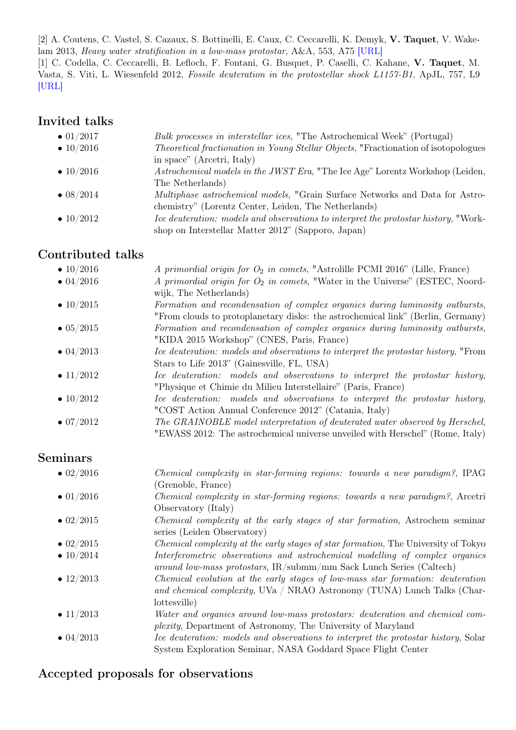[2] A. Coutens, C. Vastel, S. Cazaux, S. Bottinelli, E. Caux, C. Ceccarelli, K. Demyk, V. Taquet, V. Wakelam 2013, Heavy water stratification in a low-mass protostar, A&A, 553, A75 [\[URL\]](http://www.aanda.org/articles/aa/abs/2013/05/aa20967-12/aa20967-12.html)

[1] C. Codella, C. Ceccarelli, B. Lefloch, F. Fontani, G. Busquet, P. Caselli, C. Kahane, V. Taquet, M. Vasta, S. Viti, L. Wiesenfeld 2012, Fossile deuteration in the protostellar shock L1157-B1, ApJL, 757, L9 [\[URL\]](http://www.aanda.org/index.php?option=com_article&access=standard&Itemid=129&url=/articles/aa/full_html/2012/05/aa19207-12/aa19207-12.htmll)

# Invited talks

| $\bullet$ 01/2017 | Bulk processes in interstellar ices, "The Astrochemical Week" (Portugal)                     |
|-------------------|----------------------------------------------------------------------------------------------|
| • $10/2016$       | <i>Theoretical fractionation in Young Stellar Objects</i> , "Fractionation of isotopologues" |
|                   | in space" (Arcetri, Italy)                                                                   |
| • $10/2016$       | Astrochemical models in the JWST Era, "The Ice Age" Lorentz Workshop (Leiden,                |
|                   | The Netherlands)                                                                             |
| $\bullet$ 08/2014 | <i>Multiphase astrochemical models</i> , "Grain Surface Networks and Data for Astro-         |
|                   | chemistry" (Lorentz Center, Leiden, The Netherlands)                                         |
| $\bullet$ 10/2012 | Ice deuteration: models and observations to interpret the protostar history, "Work-          |
|                   | shop on Interstellar Matter 2012" (Sapporo, Japan)                                           |

## Contributed talks

| • $10/2016$       | A primordial origin for $O_2$ in comets, "Astrolille PCMI 2016" (Lille, France)    |
|-------------------|------------------------------------------------------------------------------------|
| $\bullet$ 04/2016 | A primordial origin for $O_2$ in comets, "Water in the Universe" (ESTEC, Noord-    |
|                   | wijk, The Netherlands)                                                             |
| • $10/2015$       | Formation and recondensation of complex organics during luminosity outbursts,      |
|                   | "From clouds to protoplanetary disks: the astrochemical link" (Berlin, Germany)    |
| $\bullet$ 05/2015 | Formation and recondensation of complex organics during luminosity outbursts,      |
|                   | "KIDA 2015 Workshop" (CNES, Paris, France)                                         |
| $\bullet$ 04/2013 | Ice deuteration: models and observations to interpret the protostar history, "From |
|                   | Stars to Life 2013" (Gainesville, FL, USA)                                         |
| • $11/2012$       | Ice deuteration: models and observations to interpret the protostar history,       |
|                   | "Physique et Chimie du Milieu Interstellaire" (Paris, France)                      |
| • $10/2012$       | Ice deuteration: models and observations to interpret the protostar history,       |
|                   | "COST Action Annual Conference 2012" (Catania, Italy)                              |
| $\bullet$ 07/2012 | The GRAINOBLE model interpretation of deuterated water observed by Herschel,       |
|                   | "EWASS 2012: The astrochemical universe unveiled with Herschel" (Rome, Italy)      |

## Seminars

| $\bullet$ 02/2016 | <i>Chemical complexity in star-forming regions: towards a new paradigm?</i> , IPAG  |
|-------------------|-------------------------------------------------------------------------------------|
|                   | (Grenoble, France)                                                                  |
| $\bullet$ 01/2016 | Chemical complexity in star-forming regions: towards a new paradigm?, Arcetri       |
|                   | Observatory (Italy)                                                                 |
| $\bullet$ 02/2015 | <i>Chemical complexity at the early stages of star formation, Astrochem seminar</i> |
|                   | series (Leiden Observatory)                                                         |
| $\bullet$ 02/2015 | Chemical complexity at the early stages of star formation, The University of Tokyo  |
| • $10/2014$       | Interferometric observations and astrochemical modelling of complex organics        |
|                   | around low-mass protostars, IR/submm/mm Sack Lunch Series (Caltech)                 |
| • $12/2013$       | Chemical evolution at the early stages of low-mass star formation: deuteration      |
|                   | and chemical complexity, UVa / NRAO Astronomy (TUNA) Lunch Talks (Char-             |
|                   | lottesville)                                                                        |
| • $11/2013$       | Water and organics around low-mass protostars: deuteration and chemical com-        |
|                   | <i>plexity</i> , Department of Astronomy, The University of Maryland                |
| $\bullet$ 04/2013 |                                                                                     |
|                   | Ice deuteration: models and observations to interpret the protostar history, Solar  |
|                   | System Exploration Seminar, NASA Goddard Space Flight Center                        |

## Accepted proposals for observations